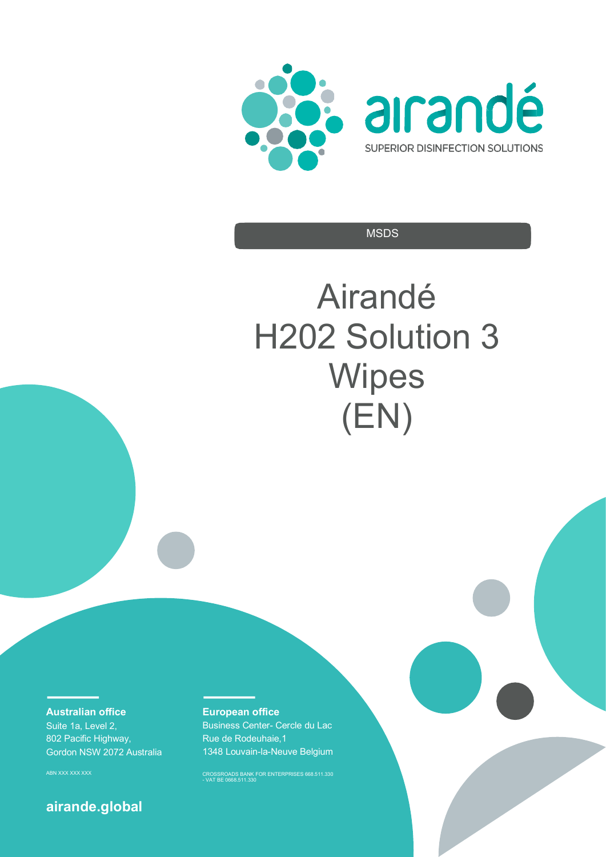



**MSDS** 

# Airandé H202 Solution 3 **Wipes** (EN)

**Australian office** 

Suite 1a, Level 2, 802 Pacific Highway, Gordon NSW 2072 Australia

### **airande.global**

#### **European office**

Business Center- Cercle du Lac Rue de Rodeuhaie,1 1348 Louvain-la-Neuve Belgium

ABN XXX XXX XXX CROSSROADS BANK FOR ENTERPRISES 668.511.330 - VAT BE 0668.511.330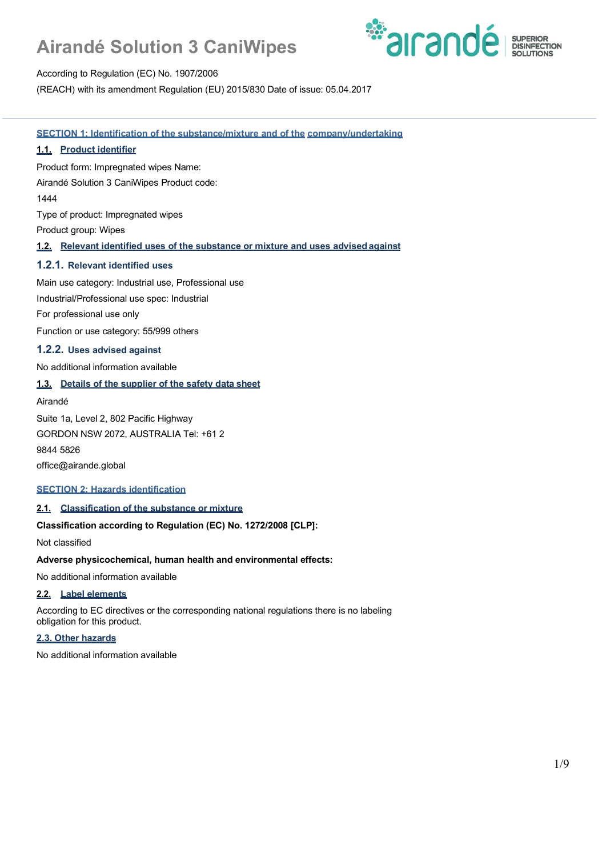

According to Regulation (EC) No. 1907/2006

(REACH) with its amendment Regulation (EU) 2015/830 Date of issue: 05.04.2017

**SECTION 1: Identification of the substance/mixture and of the company/undertaking**

#### **1.1. Product identifier**

Product form: Impregnated wipes Name:

Airandé Solution 3 CaniWipes Product code:

1444

Type of product: Impregnated wipes

Product group: Wipes

#### **1.2. Relevant identified uses of the substance or mixture and uses advisedagainst**

#### **1.2.1. Relevant identified uses**

Main use category: Industrial use, Professional use

Industrial/Professional use spec: Industrial

For professional use only

Function or use category: 55/999 others

#### **1.2.2. Uses advised against**

No additional information available

#### **1.3. Details of the supplier of the safety data sheet**

Airandé

Suite 1a, Level 2, 802 Pacific Highway

GORDON NSW 2072, AUSTRALIA Tel: +61 2

9844 5826

office@airande.global

#### **SECTION 2: Hazards identification**

#### **2.1. Classification of the substance or mixture**

#### **Classification according to Regulation (EC) No. 1272/2008 [CLP]:**

Not classified

#### **Adverse physicochemical, human health and environmental effects:**

No additional information available

#### **2.2. Label elements**

According to EC directives or the corresponding national regulations there is no labeling obligation for this product.

#### **2.3. Other hazards**

No additional information available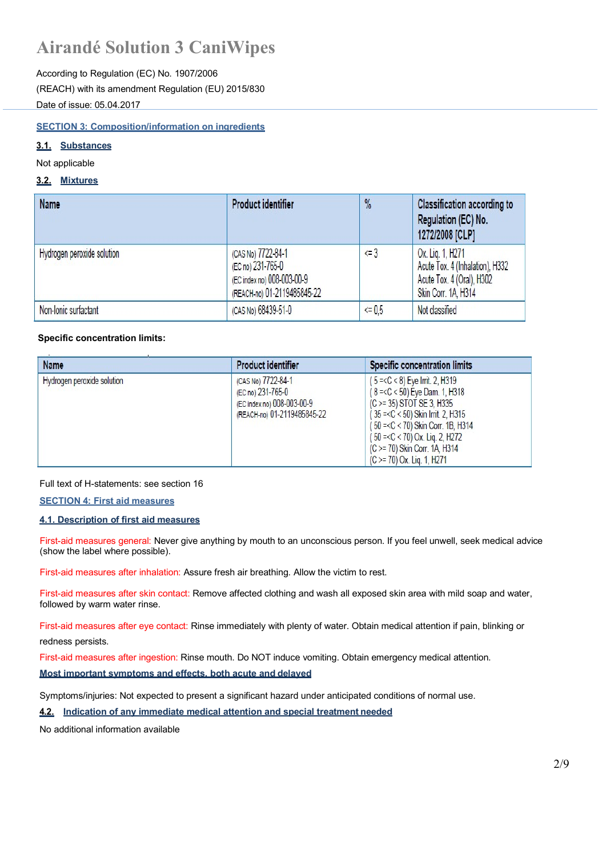According to Regulation (EC) No. 1907/2006 (REACH) with its amendment Regulation (EU) 2015/830 Date of issue: 05.04.2017

#### **SECTION 3: Composition/information on ingredients**

### **3.1. Substances**

Not applicable

#### **3.2. Mixtures**

| Name                       | Product identifier                                                                                   | $\frac{9}{6}$ | <b>Classification according to</b><br>Regulation (EC) No.<br>1272/2008 [CLP]                            |
|----------------------------|------------------------------------------------------------------------------------------------------|---------------|---------------------------------------------------------------------------------------------------------|
| Hydrogen peroxide solution | (CAS No) 7722-84-1<br>(EC no) 231-765-0<br>(EC index no) 008-003-00-9<br>(REACH-no) 01-2119485845-22 | $\leq 3$      | Ox. Lig. 1, H271<br>Acute Tox. 4 (Inhalation), H332<br>Acute Tox. 4 (Oral), H302<br>Skin Corr. 1A, H314 |
| Non-Ionic surfactant       | (CAS No) 68439-51-0                                                                                  | $5 = 0.5$     | Not classified                                                                                          |

#### **Specific concentration limits:**

| Name                       | <b>Product identifier</b>                                                                            | <b>Specific concentration limits</b>                                                                                                                                                                                                                                                 |
|----------------------------|------------------------------------------------------------------------------------------------------|--------------------------------------------------------------------------------------------------------------------------------------------------------------------------------------------------------------------------------------------------------------------------------------|
| Hydrogen peroxide solution | (CAS No) 7722-84-1<br>(EC no) 231-765-0<br>(EC index no) 008-003-00-9<br>(REACH-no) 01-2119485845-22 | $(5 = C < 8)$ Eye Irrit. 2, H319<br>$(8 = < C < 50)$ Eye Dam. 1, H318<br>(C >= 35) STOT SE 3, H335<br>(35 =< C < 50) Skin Irrit. 2, H315<br>(50 =< C < 70) Skin Corr. 1B, H314<br>(50 = < C < 70) Ox. Lig. 2, H272<br>(C >= 70) Skin Corr. 1A, H314<br>$(C \ge 70)$ Ox. Lig. 1, H271 |

Full text of H-statements: see section 16

**SECTION 4: First aid measures**

#### **4.1. Description of first aid measures**

First-aid measures general: Never give anything by mouth to an unconscious person. If you feel unwell, seek medical advice (show the label where possible).

First-aid measures after inhalation: Assure fresh air breathing. Allow the victim to rest.

First-aid measures after skin contact: Remove affected clothing and wash all exposed skin area with mild soap and water, followed by warm water rinse.

First-aid measures after eye contact: Rinse immediately with plenty of water. Obtain medical attention if pain, blinking or

redness persists.

First-aid measures after ingestion: Rinse mouth. Do NOT induce vomiting. Obtain emergency medical attention.

#### **Most important symptoms and effects, both acute and delayed**

Symptoms/injuries: Not expected to present a significant hazard under anticipated conditions of normal use.

**4.2. Indication of any immediate medical attention and special treatment needed**

No additional information available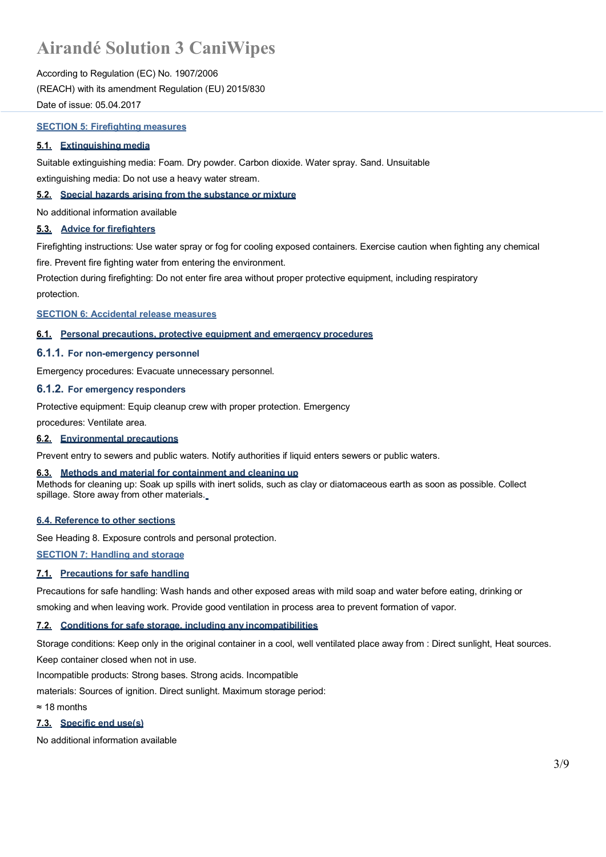According to Regulation (EC) No. 1907/2006 (REACH) with its amendment Regulation (EU) 2015/830 Date of issue: 05.04.2017

#### **SECTION 5: Firefighting measures**

#### **5.1. Extinguishing media**

Suitable extinguishing media: Foam. Dry powder. Carbon dioxide. Water spray. Sand. Unsuitable

extinguishing media: Do not use a heavy water stream.

#### **5.2. Special hazards arising from the substance or mixture**

No additional information available

#### **5.3. Advice for firefighters**

Firefighting instructions: Use water spray or fog for cooling exposed containers. Exercise caution when fighting any chemical fire. Prevent fire fighting water from entering the environment.

Protection during firefighting: Do not enter fire area without proper protective equipment, including respiratory protection.

**SECTION 6: Accidental release measures**

#### **6.1. Personal precautions, protective equipment and emergency procedures**

#### **6.1.1. For non-emergency personnel**

Emergency procedures: Evacuate unnecessary personnel.

#### **6.1.2. For emergency responders**

Protective equipment: Equip cleanup crew with proper protection. Emergency

procedures: Ventilate area.

#### **6.2. Environmental precautions**

Prevent entry to sewers and public waters. Notify authorities if liquid enters sewers or public waters.

#### **6.3. Methods and material for containment and cleaning up**

Methods for cleaning up: Soak up spills with inert solids, such as clay or diatomaceous earth as soon as possible. Collect spillage. Store away from other materials.

#### **6.4. Reference to other sections**

See Heading 8. Exposure controls and personal protection.

**SECTION 7: Handling and storage**

#### **7.1. Precautions for safe handling**

Precautions for safe handling: Wash hands and other exposed areas with mild soap and water before eating, drinking or smoking and when leaving work. Provide good ventilation in process area to prevent formation of vapor.

#### **7.2. Conditions for safe storage, including any incompatibilities**

Storage conditions: Keep only in the original container in a cool, well ventilated place away from : Direct sunlight, Heat sources. Keep container closed when not in use.

Incompatible products: Strong bases. Strong acids. Incompatible

materials: Sources of ignition. Direct sunlight. Maximum storage period:

≈ 18 months

#### **7.3. Specific end use(s)**

No additional information available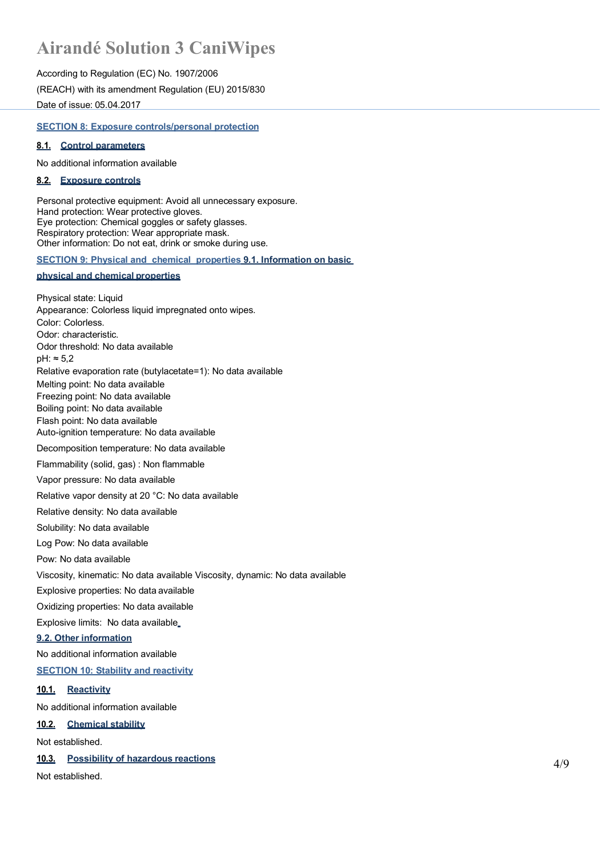According to Regulation (EC) No. 1907/2006 (REACH) with its amendment Regulation (EU) 2015/830 Date of issue: 05.04.2017

#### **SECTION 8: Exposure controls/personal protection**

#### **8.1. Control parameters**

No additional information available

#### **8.2. Exposure controls**

Personal protective equipment: Avoid all unnecessary exposure. Hand protection: Wear protective gloves. Eye protection: Chemical goggles or safety glasses. Respiratory protection: Wear appropriate mask. Other information: Do not eat, drink or smoke during use.

#### **SECTION 9: Physical and chemical properties 9.1. Information on basic**

#### **physical and chemical properties**

Physical state: Liquid Appearance: Colorless liquid impregnated onto wipes. Color: Colorless. Odor: characteristic. Odor threshold: No data available pH: ≈ 5,2 Relative evaporation rate (butylacetate=1): No data available Melting point: No data available Freezing point: No data available Boiling point: No data available Flash point: No data available Auto-ignition temperature: No data available Decomposition temperature: No data available Flammability (solid, gas) : Non flammable Vapor pressure: No data available Relative vapor density at 20 °C: No data available Relative density: No data available Solubility: No data available Log Pow: No data available Pow: No data available Viscosity, kinematic: No data available Viscosity, dynamic: No data available Explosive properties: No data available Oxidizing properties: No data available Explosive limits: No data available **9.2. Other information** No additional information available **SECTION 10: Stability and reactivity 10.1. Reactivity** No additional information available

#### **10.2. Chemical stability**

Not established.

#### **10.3. Possibility of hazardous reactions**

Not established.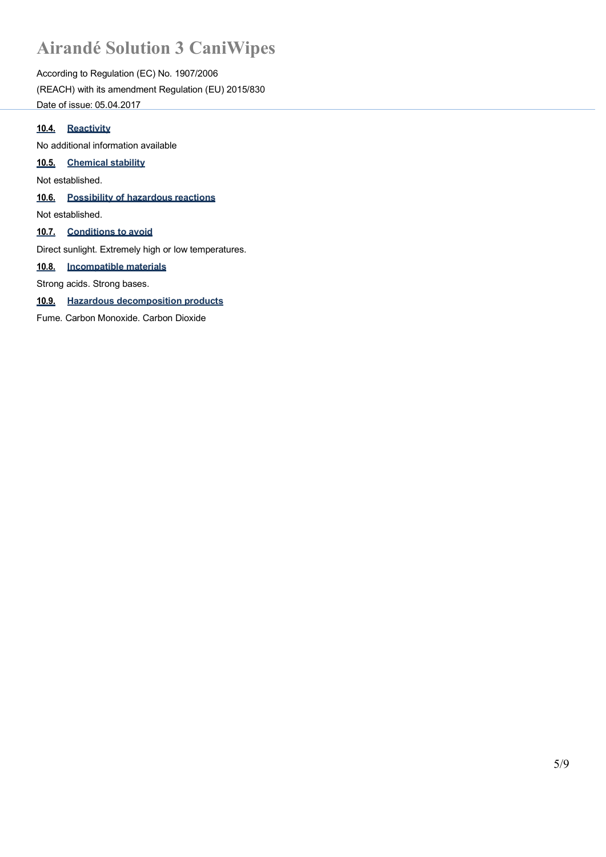According to Regulation (EC) No. 1907/2006 (REACH) with its amendment Regulation (EU) 2015/830 Date of issue: 05.04.2017

#### **10.4. Reactivity**

No additional information available

#### **10.5. Chemical stability**

Not established.

**10.6. Possibility of hazardous reactions**

Not established.

#### **10.7. Conditions to avoid**

Direct sunlight. Extremely high or low temperatures.

#### **10.8. Incompatible materials**

Strong acids. Strong bases.

#### **10.9. Hazardous decomposition products**

Fume. Carbon Monoxide. Carbon Dioxide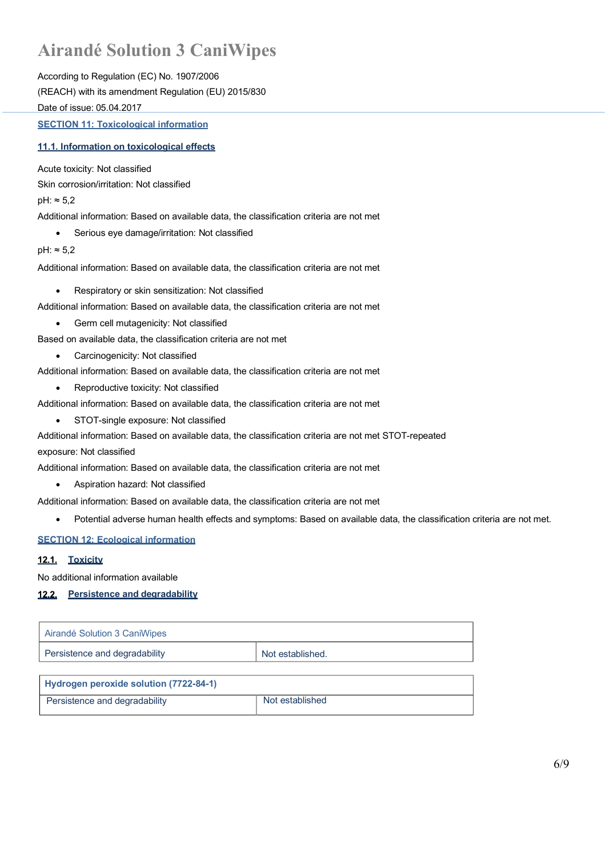According to Regulation (EC) No. 1907/2006 (REACH) with its amendment Regulation (EU) 2015/830 Date of issue: 05.04.2017

**SECTION 11: Toxicological information**

#### **11.1. Information on toxicological effects**

Acute toxicity: Not classified

Skin corrosion/irritation: Not classified

pH: ≈ 5,2

Additional information: Based on available data, the classification criteria are not met

• Serious eye damage/irritation: Not classified

pH: ≈ 5,2

Additional information: Based on available data, the classification criteria are not met

- Respiratory or skin sensitization: Not classified
- Additional information: Based on available data, the classification criteria are not met
	- Germ cell mutagenicity: Not classified

Based on available data, the classification criteria are not met

- Carcinogenicity: Not classified
- Additional information: Based on available data, the classification criteria are not met
	- Reproductive toxicity: Not classified

Additional information: Based on available data, the classification criteria are not met

- STOT-single exposure: Not classified
- Additional information: Based on available data, the classification criteria are not met STOT-repeated

exposure: Not classified

Additional information: Based on available data, the classification criteria are not met

• Aspiration hazard: Not classified

Additional information: Based on available data, the classification criteria are not met

• Potential adverse human health effects and symptoms: Based on available data, the classification criteria are not met.

#### **SECTION 12: Ecological information**

#### 12.1. Toxicity

No additional information available

#### **Persistence and degradability**

| Airandé Solution 3 CaniWipes  |                  |
|-------------------------------|------------------|
| Persistence and degradability | Not established. |

| Hydrogen peroxide solution (7722-84-1) |                 |
|----------------------------------------|-----------------|
| Persistence and degradability          | Not established |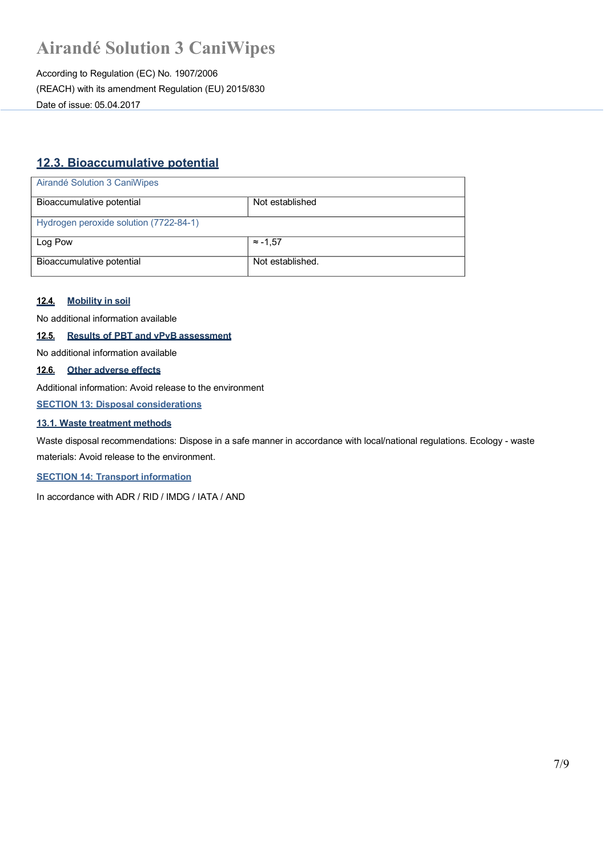According to Regulation (EC) No. 1907/2006 (REACH) with its amendment Regulation (EU) 2015/830 Date of issue: 05.04.2017

### **12.3. Bioaccumulative potential**

| Airandé Solution 3 CaniWipes           |                  |
|----------------------------------------|------------------|
| Bioaccumulative potential              | Not established  |
| Hydrogen peroxide solution (7722-84-1) |                  |
| Log Pow                                | $\approx$ -1.57  |
| Bioaccumulative potential              | Not established. |

#### **12.4. Mobility in soil**

No additional information available

### **12.5. Results of PBT and vPvB assessment**

No additional information available

#### **12.6. Other adverse effects**

Additional information: Avoid release to the environment

**SECTION 13: Disposal considerations**

#### **13.1. Waste treatment methods**

Waste disposal recommendations: Dispose in a safe manner in accordance with local/national regulations. Ecology - waste materials: Avoid release to the environment.

**SECTION 14: Transport information**

In accordance with ADR / RID / IMDG / IATA / AND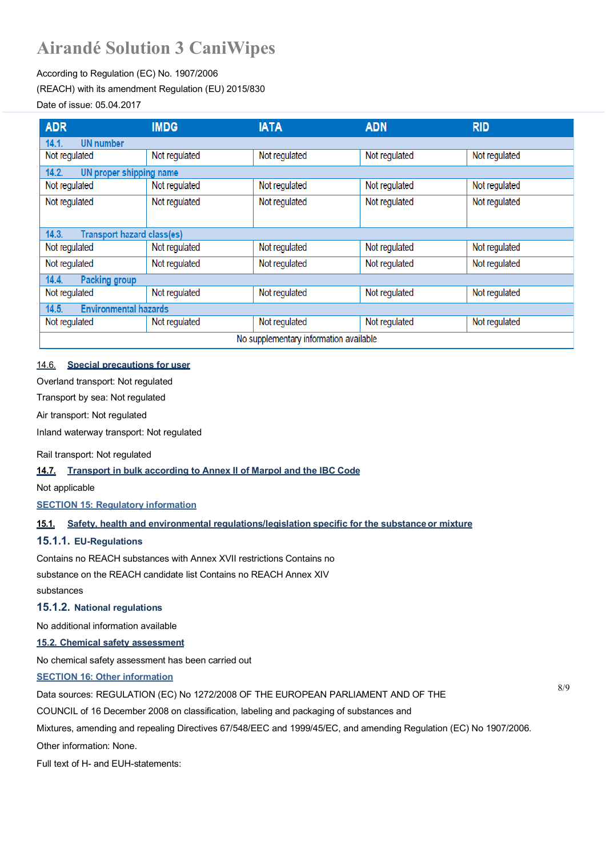#### According to Regulation (EC) No. 1907/2006 (REACH) with its amendment Regulation (EU) 2015/830

#### Date of issue: 05.04.2017

| <b>ADR</b>                             | <b>IMDG</b>                       | <b>IATA</b>   | <b>ADN</b>    | <b>RID</b>    |
|----------------------------------------|-----------------------------------|---------------|---------------|---------------|
| 14.1.<br><b>UN</b> number              |                                   |               |               |               |
| Not regulated                          | Not regulated                     | Not regulated | Not regulated | Not regulated |
| 14.2.<br>UN proper shipping name       |                                   |               |               |               |
| Not regulated                          | Not regulated                     | Not regulated | Not regulated | Not regulated |
| Not regulated                          | Not regulated                     | Not regulated | Not regulated | Not regulated |
|                                        |                                   |               |               |               |
| 14.3.                                  | <b>Transport hazard class(es)</b> |               |               |               |
| Not regulated                          | Not regulated                     | Not regulated | Not regulated | Not regulated |
| Not regulated                          | Not regulated                     | Not regulated | Not regulated | Not regulated |
| 14.4.<br><b>Packing group</b>          |                                   |               |               |               |
| Not regulated                          | Not regulated                     | Not regulated | Not regulated | Not regulated |
| 14.5.<br><b>Environmental hazards</b>  |                                   |               |               |               |
| Not regulated                          | Not regulated                     | Not regulated | Not regulated | Not regulated |
| No supplementary information available |                                   |               |               |               |

#### 14.6. **Special precautions for user**

Overland transport: Not regulated

Transport by sea: Not regulated

Air transport: Not regulated

Inland waterway transport: Not regulated

Rail transport: Not regulated

#### **14.7. Transport in bulk according to Annex II of Marpol and the IBC Code**

Not applicable

**SECTION 15: Regulatory information**

**15.1. Safety, health and environmental regulations/legislation specific for the substanceor mixture**

#### **15.1.1. EU-Regulations**

Contains no REACH substances with Annex XVII restrictions Contains no substance on the REACH candidate list Contains no REACH Annex XIV substances

#### **15.1.2. National regulations**

No additional information available

#### **15.2. Chemical safety assessment**

No chemical safety assessment has been carried out

#### **SECTION 16: Other information**

8/9 Data sources: REGULATION (EC) No 1272/2008 OF THE EUROPEAN PARLIAMENT AND OF THE

COUNCIL of 16 December 2008 on classification, labeling and packaging of substances and

Mixtures, amending and repealing Directives 67/548/EEC and 1999/45/EC, and amending Regulation (EC) No 1907/2006.

Other information: None.

Full text of H- and EUH-statements: